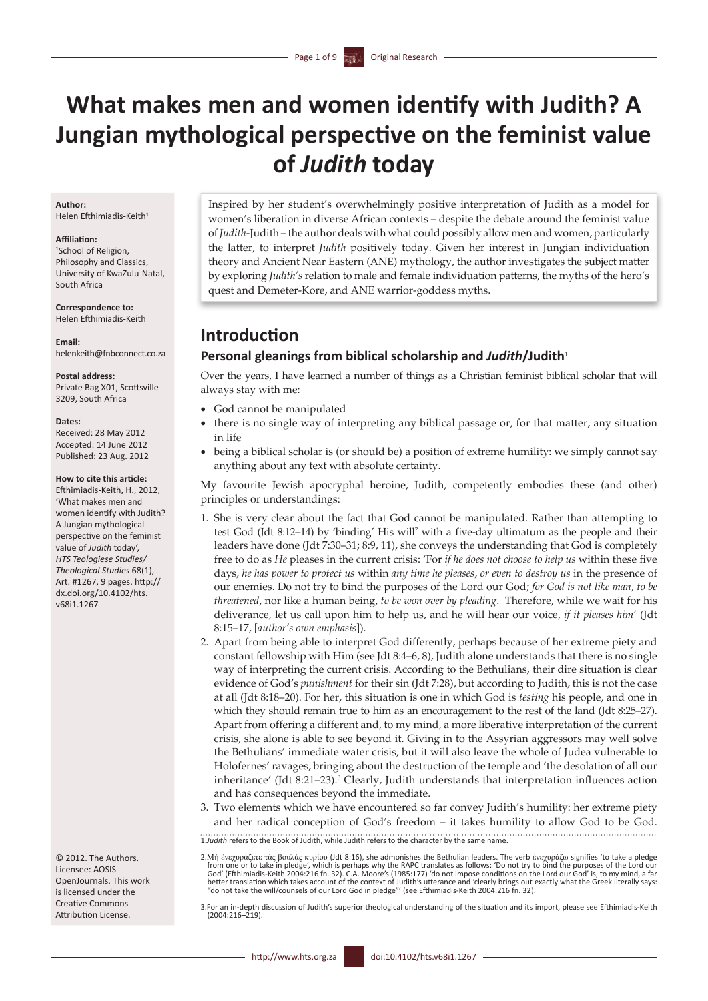# **What makes men and women identify with Judith? A Jungian mythological perspective on the feminist value of** *Judith* **today**

### **Author:**

Helen Efthimiadis-Keith<sup>1</sup>

#### **Affiliation:**

1 School of Religion, Philosophy and Classics, University of KwaZulu-Natal, South Africa

**Correspondence to:** Helen Efthimiadis-Keith

**Email:** helenkeith@fnbconnect.co.za

**Postal address:** Private Bag X01, Scottsville 3209, South Africa

#### **Dates:**

Received: 28 May 2012 Accepted: 14 June 2012 Published: 23 Aug. 2012

#### **How to cite this article:**

Efthimiadis-Keith, H., 2012, 'What makes men and women identify with Judith? A Jungian mythological perspective on the feminist value of *Judith* today', *HTS Teologiese Studies/ Theological Studies* 68(1), Art. #1267, 9 pages. [http://](http://dx.doi.org/10.4102/hts.v68i1.1267) [dx.doi.org/10.4102/hts.](http://dx.doi.org/10.4102/hts.v68i1.1267) [v68i1.1267](http://dx.doi.org/10.4102/hts.v68i1.1267)

© 2012. The Authors. Licensee: AOSIS OpenJournals. This work is licensed under the Creative Commons Attribution License.

Inspired by her student's overwhelmingly positive interpretation of Judith as a model for women's liberation in diverse African contexts – despite the debate around the feminist value of *Judith*-Judith – the author deals with what could possibly allow men and women, particularly the latter, to interpret *Judith* positively today. Given her interest in Jungian individuation theory and Ancient Near Eastern (ANE) mythology, the author investigates the subject matter by exploring *Judith's* relation to male and female individuation patterns, the myths of the hero's quest and Demeter-Kore, and ANE warrior-goddess myths.

# **Introduction**

### **Personal gleanings from biblical scholarship and** *Judith***/Judith**<sup>1</sup>

Over the years, I have learned a number of things as a Christian feminist biblical scholar that will always stay with me:

- God cannot be manipulated
- there is no single way of interpreting any biblical passage or, for that matter, any situation in life
- • being a biblical scholar is (or should be) a position of extreme humility: we simply cannot say anything about any text with absolute certainty.

My favourite Jewish apocryphal heroine, Judith, competently embodies these (and other) principles or understandings:

- 1. She is very clear about the fact that God cannot be manipulated. Rather than attempting to test God (Jdt 8:12–14) by 'binding' His will<sup>2</sup> with a five-day ultimatum as the people and their leaders have done (Jdt 7:30–31; 8:9, 11), she conveys the understanding that God is completely free to do as *He* pleases in the current crisis: 'For *if he does not choose to help us* within these five days, *he has power to protect us* within *any time he pleases*, *or even to destroy us* in the presence of our enemies. Do not try to bind the purposes of the Lord our God; *for God is not like man, to be threatened*, nor like a human being, *to be won over by pleading*. Therefore, while we wait for his deliverance, let us call upon him to help us, and he will hear our voice, *if it pleases him*' (Jdt 8:15–17, [*author's own emphasis*]).
- 2. Apart from being able to interpret God differently, perhaps because of her extreme piety and constant fellowship with Him (see Jdt 8:4–6, 8), Judith alone understands that there is no single way of interpreting the current crisis. According to the Bethulians, their dire situation is clear evidence of God's *punishment* for their sin (Jdt 7:28), but according to Judith, this is not the case at all (Jdt 8:18–20). For her, this situation is one in which God is *testing* his people, and one in which they should remain true to him as an encouragement to the rest of the land (Jdt 8:25–27). Apart from offering a different and, to my mind, a more liberative interpretation of the current crisis, she alone is able to see beyond it. Giving in to the Assyrian aggressors may well solve the Bethulians' immediate water crisis, but it will also leave the whole of Judea vulnerable to Holofernes' ravages, bringing about the destruction of the temple and 'the desolation of all our inheritance' (Jdt 8:21–23).<sup>3</sup> Clearly, Judith understands that interpretation influences action and has consequences beyond the immediate.
- 3. Two elements which we have encountered so far convey Judith's humility: her extreme piety and her radical conception of God's freedom – it takes humility to allow God to be God.

1.*Judith* refers to the Book of Judith, while Judith refers to the character by the same name.

<sup>2.</sup>Μὴ ἐνεχυράζετε τὰς βουλὰς κυρίου (Jdt 8:16), she admonishes the Bethulian leaders. The verb ἐνεχυράζω signifies 'to take a pledge<br>from one or to take in pledge', which is perhaps why the RAPC translates as follows: 'Do better translation which takes account of the context of Judith's utterance and 'clearly brings out exactly what the Greek literally says:<br>"do not take the will/counsels of our Lord God in pledge"' (see Efthimiadis-Keith 2

<sup>3.</sup>For an in-depth discussion of Judith's superior theological understanding of the situation and its import, please see Efthimiadis-Keith (2004:216–219).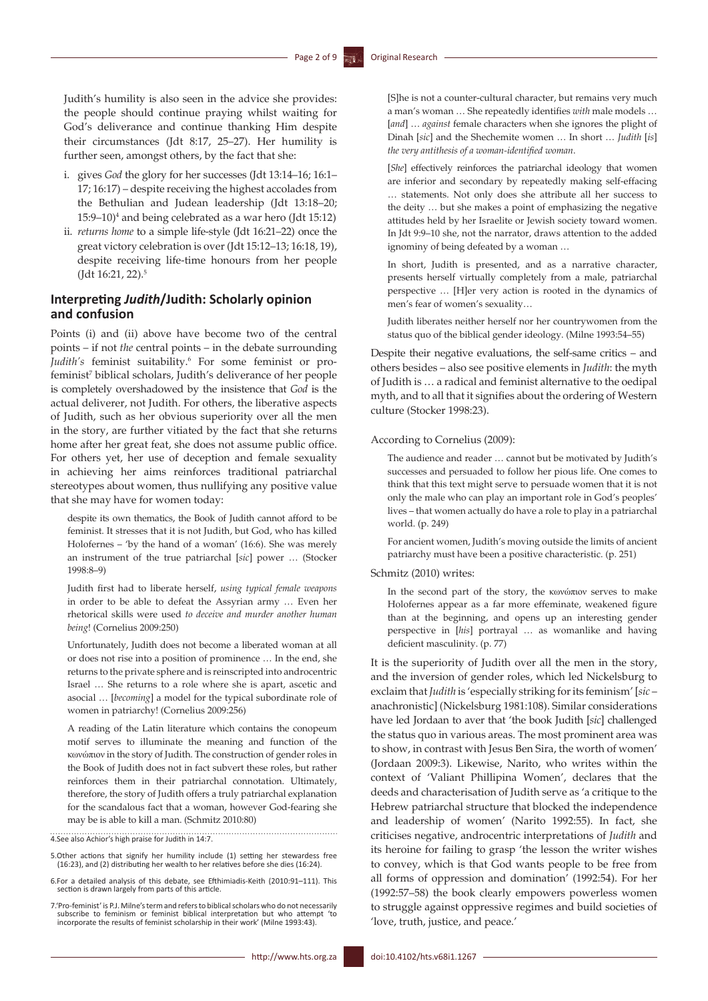Judith's humility is also seen in the advice she provides: the people should continue praying whilst waiting for God's deliverance and continue thanking Him despite their circumstances (Jdt 8:17, 25–27). Her humility is further seen, amongst others, by the fact that she:

- i. gives *God* the glory for her successes (Jdt 13:14–16; 16:1– 17; 16:17) – despite receiving the highest accolades from the Bethulian and Judean leadership (Jdt 13:18–20; 15:9–10)4 and being celebrated as a war hero (Jdt 15:12)
- ii. *returns home* to a simple life-style (Jdt 16:21–22) once the great victory celebration is over (Jdt 15:12–13; 16:18, 19), despite receiving life-time honours from her people (Jdt 16:21, 22).<sup>5</sup>

### **Interpreting** *Judith***/Judith: Scholarly opinion and confusion**

Points (i) and (ii) above have become two of the central points – if not *the* central points – in the debate surrounding Judith's feminist suitability.<sup>6</sup> For some feminist or profeminist<sup>7</sup> biblical scholars, Judith's deliverance of her people is completely overshadowed by the insistence that *God* is the actual deliverer, not Judith. For others, the liberative aspects of Judith, such as her obvious superiority over all the men in the story, are further vitiated by the fact that she returns home after her great feat, she does not assume public office. For others yet, her use of deception and female sexuality in achieving her aims reinforces traditional patriarchal stereotypes about women, thus nullifying any positive value that she may have for women today:

despite its own thematics, the Book of Judith cannot afford to be feminist. It stresses that it is not Judith, but God, who has killed Holofernes – 'by the hand of a woman' (16:6). She was merely an instrument of the true patriarchal [*sic*] power … (Stocker 1998:8–9)

Judith first had to liberate herself, *using typical female weapons* in order to be able to defeat the Assyrian army … Even her rhetorical skills were used *to deceive and murder another human being*! (Cornelius 2009:250)

Unfortunately, Judith does not become a liberated woman at all or does not rise into a position of prominence … In the end, she returns to the private sphere and is reinscripted into androcentric Israel … She returns to a role where she is apart, ascetic and asocial … [*becoming*] a model for the typical subordinate role of women in patriarchy! (Cornelius 2009:256)

A reading of the Latin literature which contains the conopeum motif serves to illuminate the meaning and function of the κωνώπιον in the story of Judith. The construction of gender roles in the Book of Judith does not in fact subvert these roles, but rather reinforces them in their patriarchal connotation. Ultimately, therefore, the story of Judith offers a truly patriarchal explanation for the scandalous fact that a woman, however God-fearing she may be is able to kill a man. (Schmitz 2010:80)

4.See also Achior's high praise for Judith in 14:7.

- 5.Other actions that signify her humility include (1) setting her stewardess free (16:23), and (2) distributing her wealth to her relatives before she dies (16:24).
- 6.For a detailed analysis of this debate, see Efthimiadis-Keith (2010:91–111). This section is drawn largely from parts of this article.
- 7.'Pro-feminist' is P.J. Milne's term and refers to biblical scholars who do not necessarily subscribe to feminism or feminist biblical interpretation but who attempt 'to incorporate the results of feminist scholarship in their work' (Milne 1993:43).

[S]he is not a counter-cultural character, but remains very much a man's woman … She repeatedly identifies *with* male models … [*and*] … *against* female characters when she ignores the plight of Dinah [*sic*] and the Shechemite women … In short … *Judith* [*is*] *the very antithesis of a woman-identified woman*.

[*She*] effectively reinforces the patriarchal ideology that women are inferior and secondary by repeatedly making self-effacing … statements. Not only does she attribute all her success to the deity … but she makes a point of emphasizing the negative attitudes held by her Israelite or Jewish society toward women. In Jdt 9:9–10 she, not the narrator, draws attention to the added ignominy of being defeated by a woman …

In short, Judith is presented, and as a narrative character, presents herself virtually completely from a male, patriarchal perspective … [H]er very action is rooted in the dynamics of men's fear of women's sexuality…

Judith liberates neither herself nor her countrywomen from the status quo of the biblical gender ideology. (Milne 1993:54–55)

Despite their negative evaluations, the self-same critics – and others besides – also see positive elements in *Judith*: the myth of Judith is … a radical and feminist alternative to the oedipal myth, and to all that it signifies about the ordering of Western culture (Stocker 1998:23).

### According to Cornelius (2009):

The audience and reader … cannot but be motivated by Judith's successes and persuaded to follow her pious life. One comes to think that this text might serve to persuade women that it is not only the male who can play an important role in God's peoples' lives – that women actually do have a role to play in a patriarchal world. (p. 249)

For ancient women, Judith's moving outside the limits of ancient patriarchy must have been a positive characteristic. (p. 251)

### Schmitz (2010) writes:

In the second part of the story, the κωνώπιον serves to make Holofernes appear as a far more effeminate, weakened figure than at the beginning, and opens up an interesting gender perspective in [*his*] portrayal … as womanlike and having deficient masculinity. (p. 77)

It is the superiority of Judith over all the men in the story, and the inversion of gender roles, which led Nickelsburg to exclaim that *Judith* is 'especially striking for its feminism' [*sic* – anachronistic] (Nickelsburg 1981:108). Similar considerations have led Jordaan to aver that 'the book Judith [*sic*] challenged the status quo in various areas. The most prominent area was to show, in contrast with Jesus Ben Sira, the worth of women' (Jordaan 2009:3). Likewise, Narito, who writes within the context of 'Valiant Phillipina Women', declares that the deeds and characterisation of Judith serve as 'a critique to the Hebrew patriarchal structure that blocked the independence and leadership of women' (Narito 1992:55). In fact, she criticises negative, androcentric interpretations of *Judith* and its heroine for failing to grasp 'the lesson the writer wishes to convey, which is that God wants people to be free from all forms of oppression and domination' (1992:54). For her (1992:57–58) the book clearly empowers powerless women to struggle against oppressive regimes and build societies of 'love, truth, justice, and peace.'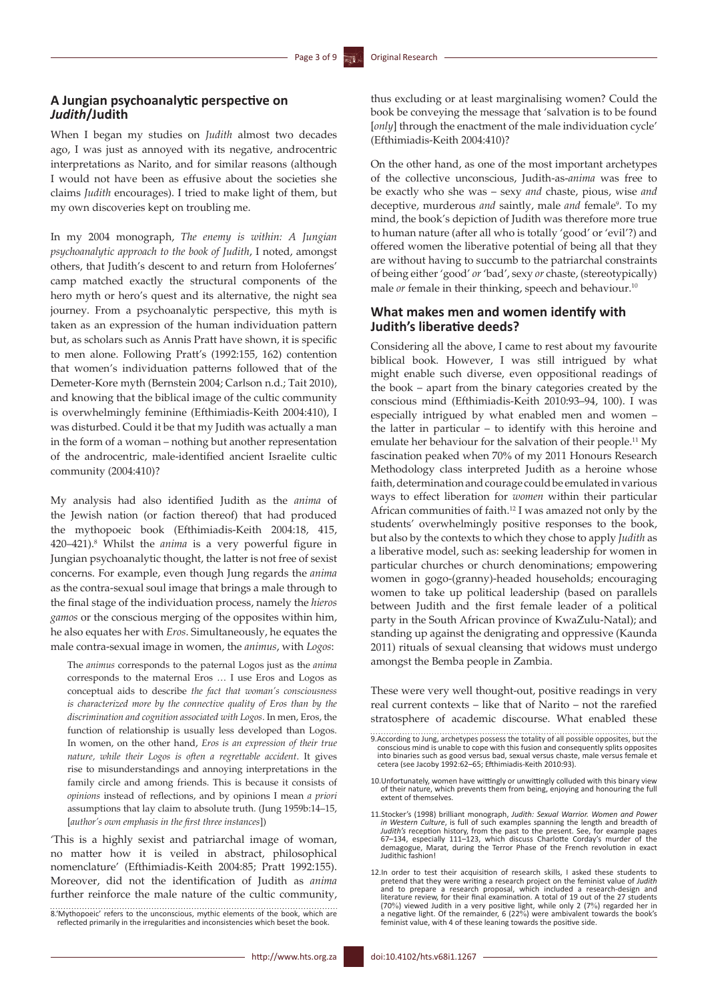### **A Jungian psychoanalytic perspective on**  *Judith***/Judith**

When I began my studies on *Judith* almost two decades ago, I was just as annoyed with its negative, androcentric interpretations as Narito, and for similar reasons (although I would not have been as effusive about the societies she claims *Judith* encourages). I tried to make light of them, but my own discoveries kept on troubling me.

In my 2004 monograph, *The enemy is within: A Jungian psychoanalytic approach to the book of Judith*, I noted, amongst others, that Judith's descent to and return from Holofernes' camp matched exactly the structural components of the hero myth or hero's quest and its alternative, the night sea journey. From a psychoanalytic perspective, this myth is taken as an expression of the human individuation pattern but, as scholars such as Annis Pratt have shown, it is specific to men alone. Following Pratt's (1992:155, 162) contention that women's individuation patterns followed that of the Demeter-Kore myth (Bernstein 2004; Carlson n.d.; Tait 2010), and knowing that the biblical image of the cultic community is overwhelmingly feminine (Efthimiadis-Keith 2004:410), I was disturbed. Could it be that my Judith was actually a man in the form of a woman – nothing but another representation of the androcentric, male-identified ancient Israelite cultic community (2004:410)?

My analysis had also identified Judith as the *anima* of the Jewish nation (or faction thereof) that had produced the mythopoeic book (Efthimiadis-Keith 2004:18, 415, 420–421).8 Whilst the *anima* is a very powerful figure in Jungian psychoanalytic thought, the latter is not free of sexist concerns. For example, even though Jung regards the *anima* as the contra-sexual soul image that brings a male through to the final stage of the individuation process, namely the *hieros gamos* or the conscious merging of the opposites within him, he also equates her with *Eros*. Simultaneously, he equates the male contra-sexual image in women, the *animus*, with *Logos*:

The *animus* corresponds to the paternal Logos just as the *anima* corresponds to the maternal Eros … I use Eros and Logos as conceptual aids to describe *the fact that woman's consciousness is characterized more by the connective quality of Eros than by the discrimination and cognition associated with Logos*. In men, Eros, the function of relationship is usually less developed than Logos. In women, on the other hand, *Eros is an expression of their true nature, while their Logos is often a regrettable accident*. It gives rise to misunderstandings and annoying interpretations in the family circle and among friends. This is because it consists of *opinions* instead of reflections, and by opinions I mean *a priori* assumptions that lay claim to absolute truth. (Jung 1959b:14–15, [*author's own emphasis in the first three instances*])

'This is a highly sexist and patriarchal image of woman, no matter how it is veiled in abstract, philosophical nomenclature' (Efthimiadis-Keith 2004:85; Pratt 1992:155). Moreover, did not the identification of Judith as *anima* further reinforce the male nature of the cultic community,

On the other hand, as one of the most important archetypes of the collective unconscious, Judith-as-*anima* was free to be exactly who she was – sexy *and* chaste, pious, wise *and* deceptive, murderous and saintly, male and female<sup>9</sup>. To my mind, the book's depiction of Judith was therefore more true to human nature (after all who is totally 'good' or 'evil'?) and offered women the liberative potential of being all that they are without having to succumb to the patriarchal constraints of being either 'good' *or* 'bad', sexy *or* chaste, (stereotypically) male *or* female in their thinking, speech and behaviour.<sup>10</sup>

### **What makes men and women identify with Judith's liberative deeds?**

Considering all the above, I came to rest about my favourite biblical book. However, I was still intrigued by what might enable such diverse, even oppositional readings of the book – apart from the binary categories created by the conscious mind (Efthimiadis-Keith 2010:93–94, 100). I was especially intrigued by what enabled men and women – the latter in particular – to identify with this heroine and emulate her behaviour for the salvation of their people.11 My fascination peaked when 70% of my 2011 Honours Research Methodology class interpreted Judith as a heroine whose faith, determination and courage could be emulated in various ways to effect liberation for *women* within their particular African communities of faith.12 I was amazed not only by the students' overwhelmingly positive responses to the book, but also by the contexts to which they chose to apply *Judith* as a liberative model, such as: seeking leadership for women in particular churches or church denominations; empowering women in gogo-(granny)-headed households; encouraging women to take up political leadership (based on parallels between Judith and the first female leader of a political party in the South African province of KwaZulu-Natal); and standing up against the denigrating and oppressive (Kaunda 2011) rituals of sexual cleansing that widows must undergo amongst the Bemba people in Zambia.

These were very well thought-out, positive readings in very real current contexts – like that of Narito – not the rarefied stratosphere of academic discourse. What enabled these

<sup>8.&#</sup>x27;Mythopoeic' refers to the unconscious, mythic elements of the book, which are reflected primarily in the irregularities and inconsistencies which beset the book.

<sup>9.</sup>According to Jung, archetypes possess the totality of all possible opposites, but the conscious mind is unable to cope with this fusion and consequently splits opposites into binaries such as good versus bad, sexual versus chaste, male versus female et cetera (see Jacoby 1992:62–65; Efthimiadis-Keith 2010:93).

<sup>10.</sup>Unfortunately, women have wittingly or unwittingly colluded with this binary view of their nature, which prevents them from being, enjoying and honouring the full extent of themselves.

<sup>11.</sup>Stocker's (1998) brilliant monograph, *Judith: Sexual Warrior. Women and Power in Western Culture*, is full of such examples spanning the length and breadth of *Judith's* reception history, from the past to the present. See, for example pages 67–134, especially 111–123, which discuss Charlotte Corday's murder of the demagogue, Marat, during the Terror Phase of the French revolution in exact Judithic fashion!

<sup>12</sup>.In order to test their acquisition of research skills, I asked these students to pretend that they were writing a research project on the feminist value of *Judith* and to prepare a research proposal, which included a research-design and literature review, for their final examination. A total of 19 out of the 27 students (70%) viewed Judith in a very positive light, while only 2 (7%) regarded her in a negative light. Of the remainder, 6 (22%) were ambivalent towards the book's feminist value, with 4 of these leaning towards the positive side.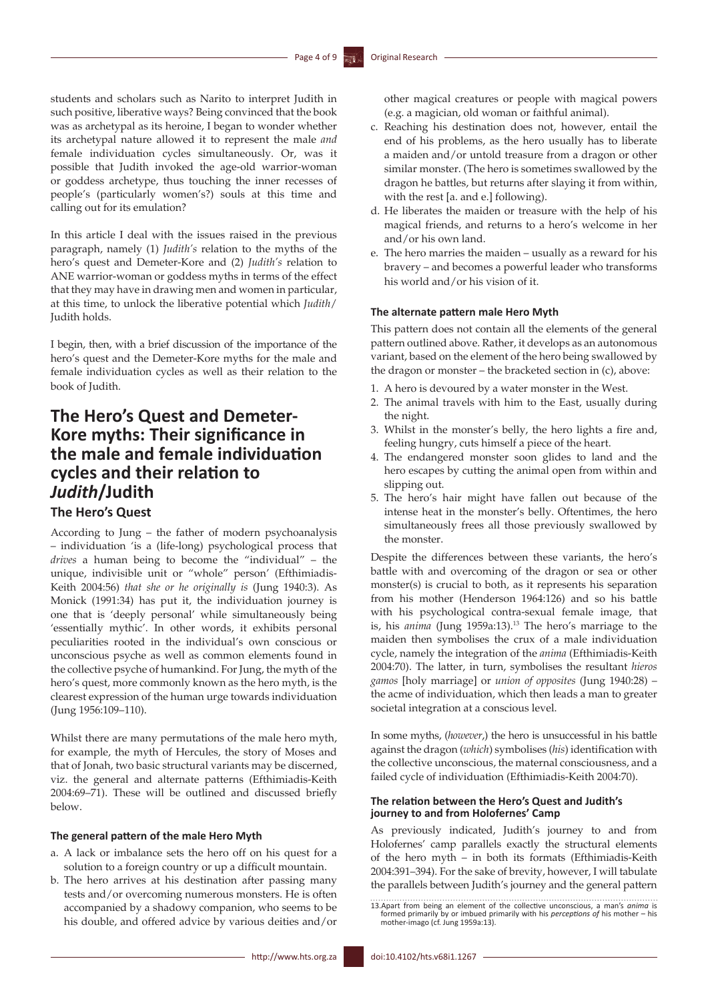students and scholars such as Narito to interpret Judith in such positive, liberative ways? Being convinced that the book was as archetypal as its heroine, I began to wonder whether its archetypal nature allowed it to represent the male *and* female individuation cycles simultaneously. Or, was it possible that Judith invoked the age-old warrior-woman or goddess archetype, thus touching the inner recesses of people's (particularly women's?) souls at this time and calling out for its emulation?

In this article I deal with the issues raised in the previous paragraph, namely (1) *Judith's* relation to the myths of the hero's quest and Demeter-Kore and (2) *Judith's* relation to ANE warrior-woman or goddess myths in terms of the effect that they may have in drawing men and women in particular, at this time, to unlock the liberative potential which *Judith*/ Judith holds.

I begin, then, with a brief discussion of the importance of the hero's quest and the Demeter-Kore myths for the male and female individuation cycles as well as their relation to the book of Judith.

# **The Hero's Quest and Demeter-Kore myths: Their significance in the male and female individuation cycles and their relation to**  *Judith***/Judith**

### **The Hero's Quest**

According to Jung – the father of modern psychoanalysis – individuation 'is a (life-long) psychological process that *drives* a human being to become the "individual" – the unique, indivisible unit or "whole" person' (Efthimiadis-Keith 2004:56) *that she or he originally is* (Jung 1940:3). As Monick (1991:34) has put it, the individuation journey is one that is 'deeply personal' while simultaneously being 'essentially mythic'. In other words, it exhibits personal peculiarities rooted in the individual's own conscious or unconscious psyche as well as common elements found in the collective psyche of humankind. For Jung, the myth of the hero's quest, more commonly known as the hero myth, is the clearest expression of the human urge towards individuation (Jung 1956:109–110).

Whilst there are many permutations of the male hero myth, for example, the myth of Hercules, the story of Moses and that of Jonah, two basic structural variants may be discerned, viz. the general and alternate patterns (Efthimiadis-Keith 2004:69–71). These will be outlined and discussed briefly below.

### **The general pattern of the male Hero Myth**

- a. A lack or imbalance sets the hero off on his quest for a solution to a foreign country or up a difficult mountain.
- b. The hero arrives at his destination after passing many tests and/or overcoming numerous monsters. He is often accompanied by a shadowy companion, who seems to be his double, and offered advice by various deities and/or

other magical creatures or people with magical powers (e.g. a magician, old woman or faithful animal).

- c. Reaching his destination does not, however, entail the end of his problems, as the hero usually has to liberate a maiden and/or untold treasure from a dragon or other similar monster. (The hero is sometimes swallowed by the dragon he battles, but returns after slaying it from within, with the rest [a. and e.] following).
- d. He liberates the maiden or treasure with the help of his magical friends, and returns to a hero's welcome in her and/or his own land.
- e. The hero marries the maiden usually as a reward for his bravery – and becomes a powerful leader who transforms his world and/or his vision of it.

### **The alternate pattern male Hero Myth**

This pattern does not contain all the elements of the general pattern outlined above. Rather, it develops as an autonomous variant, based on the element of the hero being swallowed by the dragon or monster – the bracketed section in (c), above:

- 1. A hero is devoured by a water monster in the West.
- 2. The animal travels with him to the East, usually during the night.
- 3. Whilst in the monster's belly, the hero lights a fire and, feeling hungry, cuts himself a piece of the heart.
- 4. The endangered monster soon glides to land and the hero escapes by cutting the animal open from within and slipping out.
- 5. The hero's hair might have fallen out because of the intense heat in the monster's belly. Oftentimes, the hero simultaneously frees all those previously swallowed by the monster.

Despite the differences between these variants, the hero's battle with and overcoming of the dragon or sea or other monster(s) is crucial to both, as it represents his separation from his mother (Henderson 1964:126) and so his battle with his psychological contra-sexual female image, that is, his *anima* (Jung 1959a:13).<sup>13</sup> The hero's marriage to the maiden then symbolises the crux of a male individuation cycle, namely the integration of the *anima* (Efthimiadis-Keith 2004:70). The latter, in turn, symbolises the resultant *hieros gamos* [holy marriage] or *union of opposites* (Jung 1940:28) – the acme of individuation, which then leads a man to greater societal integration at a conscious level.

In some myths, (*however*,) the hero is unsuccessful in his battle against the dragon (*which*) symbolises (*his*) identification with the collective unconscious, the maternal consciousness, and a failed cycle of individuation (Efthimiadis-Keith 2004:70).

### **The relation between the Hero's Quest and Judith's journey to and from Holofernes' Camp**

As previously indicated, Judith's journey to and from Holofernes' camp parallels exactly the structural elements of the hero myth – in both its formats (Efthimiadis-Keith 2004:391–394). For the sake of brevity, however, I will tabulate the parallels between Judith's journey and the general pattern

<sup>13.</sup>Apart from being an element of the collective unconscious, a man's *anima* is formed primarily by or imbued primarily with his *perceptions of* his mother – his mother-imago (cf. Jung 1959a:13).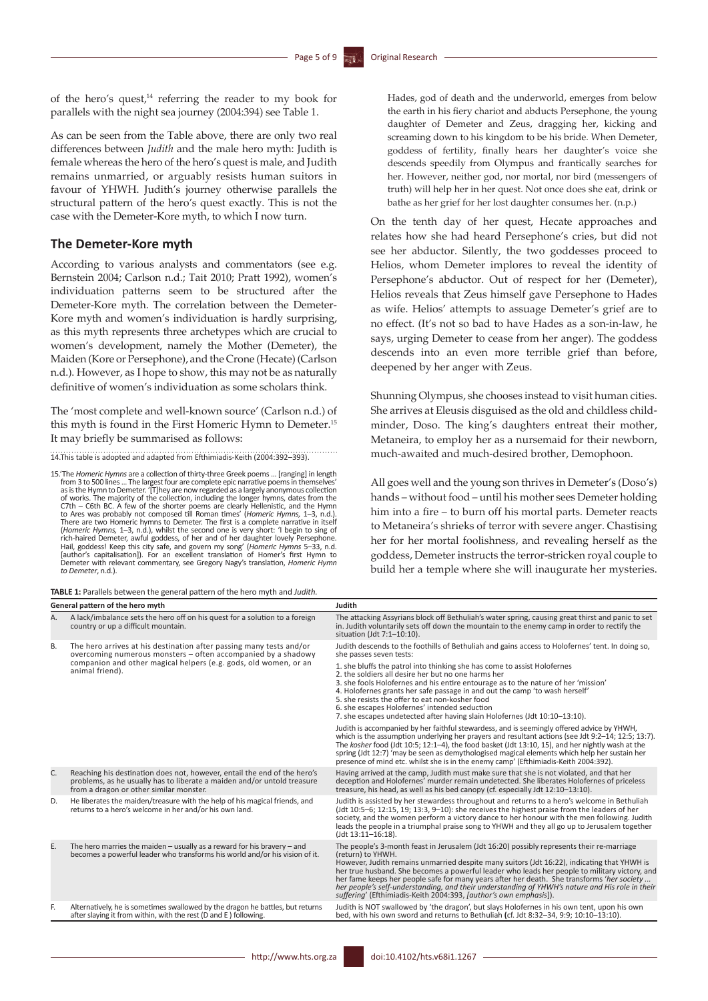of the hero's quest,<sup>14</sup> referring the reader to my book for parallels with the night sea journey (2004:394) see Table 1.

As can be seen from the Table above, there are only two real differences between *Judith* and the male hero myth: Judith is female whereas the hero of the hero's quest is male, and Judith remains unmarried, or arguably resists human suitors in favour of YHWH. Judith's journey otherwise parallels the structural pattern of the hero's quest exactly. This is not the case with the Demeter-Kore myth, to which I now turn.

### **The Demeter-Kore myth**

According to various analysts and commentators (see e.g. Bernstein 2004; Carlson n.d.; Tait 2010; Pratt 1992), women's individuation patterns seem to be structured after the Demeter-Kore myth. The correlation between the Demeter-Kore myth and women's individuation is hardly surprising, as this myth represents three archetypes which are crucial to women's development, namely the Mother (Demeter), the Maiden (Kore or Persephone), and the Crone (Hecate) (Carlson n.d.). However, as I hope to show, this may not be as naturally definitive of women's individuation as some scholars think.

The 'most complete and well-known source' (Carlson n.d.) of this myth is found in the First Homeric Hymn to Demeter.15 It may briefly be summarised as follows:

14.This table is adopted and adapted from Efthimiadis-Keith (2004:392–393).

15.'The *Homeric Hymns* are a collection of thirty-three Greek poems … [ranging] in length from 3 to 500 lines ... The largest four are complete epic narrative poems in themselves'<br>as is the Hymn to Demeter. '(T]hey are now regarded as a largely anonymous collection<br>of works. The majority of the collection, incl There are two Homeric hymns to Demeter. The first is a complete narrative in itself (*Homeric Hymns,* 1–3, n.d.), whilst the second one is very short: 'I begin to sing of rich-haired Demeter, awful goddess, of her and of her daughter lovely Persephone.<br>Hail, goddess! Keep this city safe, and govern my song' (Homeric Hymns 5–33, n.d.<br>[author's capitalisation]). For an excellent translation o Demeter with relevant commentary, see Gregory Nagy's translation, *Homeric Hymn to Demeter*, n.d.).

**TABLE 1:** Parallels between the general pattern of the hero myth and *Judith.* **General pattern of the hero myth Judith** Hades, god of death and the underworld, emerges from below the earth in his fiery chariot and abducts Persephone, the young daughter of Demeter and Zeus, dragging her, kicking and screaming down to his kingdom to be his bride. When Demeter, goddess of fertility, finally hears her daughter's voice she descends speedily from Olympus and frantically searches for her. However, neither god, nor mortal, nor bird (messengers of truth) will help her in her quest. Not once does she eat, drink or bathe as her grief for her lost daughter consumes her. (n.p.)

On the tenth day of her quest, Hecate approaches and relates how she had heard Persephone's cries, but did not see her abductor. Silently, the two goddesses proceed to Helios, whom Demeter implores to reveal the identity of Persephone's abductor. Out of respect for her (Demeter), Helios reveals that Zeus himself gave Persephone to Hades as wife. Helios' attempts to assuage Demeter's grief are to no effect. (It's not so bad to have Hades as a son-in-law, he says, urging Demeter to cease from her anger). The goddess descends into an even more terrible grief than before, deepened by her anger with Zeus.

Shunning Olympus, she chooses instead to visit human cities. She arrives at Eleusis disguised as the old and childless childminder, Doso. The king's daughters entreat their mother, Metaneira, to employ her as a nursemaid for their newborn, much-awaited and much-desired brother, Demophoon.

All goes well and the young son thrives in Demeter's (Doso's) hands – without food – until his mother sees Demeter holding him into a fire – to burn off his mortal parts. Demeter reacts to Metaneira's shrieks of terror with severe anger. Chastising her for her mortal foolishness, and revealing herself as the goddess, Demeter instructs the terror-stricken royal couple to build her a temple where she will inaugurate her mysteries.

A. A lack/imbalance sets the hero off on his quest for a solution to a foreign country or up a difficult mountain. The attacking Assyrians block off Bethuliah's water spring, causing great thirst and panic to set in. Judith voluntarily sets off down the mountain to the enemy camp in order to rectify the situation (Jdt 7:1–10:10). B. The hero arrives at his destination after passing many tests and/or overcoming numerous monsters – often accompanied by a shadowy companion and other magical helpers (e.g. gods, old women, or an animal friend). Judith descends to the foothills of Bethuliah and gains access to Holofernes' tent. In doing so, she passes seven tests: 1. she bluffs the patrol into thinking she has come to assist Holofernes 2. the soldiers all desire her but no one harms her 3. she fools Holofernes and his entire entourage as to the nature of her 'mission' 4. Holofernes grants her safe passage in and out the camp 'to wash herself' 5. she resists the offer to eat non-kosher food 6. she escapes Holofernes' intended seduction 7. she escapes undetected after having slain Holofernes (Jdt 10:10–13:10). Judith is accompanied by her faithful stewardess, and is seemingly offered advice by YHWH, which is the assumption underlying her prayers and resultant actions (see Jdt 9:2–14; 12:5; 13:7). The *kosher* food (Jdt 10:5; 12:1–4), the food basket (Jdt 13:10, 15), and her nightly wash at the<br>spring (Jdt 12:7) 'may be seen as demythologised magical elements which help her sustain her<br>presence of mind etc. whilst s C. Reaching his destination does not, however, entail the end of the hero's problems, as he usually has to liberate a maiden and/or untold treasure from a dragon or other similar monster. Having arrived at the camp, Judith must make sure that she is not violated, and that her deception and Holofernes' murder remain undetected. She liberates Holofernes of priceless treasure, his head, as well as his bed canopy (cf. especially Jdt 12:10–13:10). D. He liberates the maiden/treasure with the help of his magical friends, and returns to a hero's welcome in her and/or his own land. Judith is assisted by her stewardess throughout and returns to a hero's welcome in Bethuliah (Jdt 10:5–6; 12:15, 19; 13:3, 9–10): she receives the highest praise from the leaders of her society, and the women perform a victory dance to her honour with the men following. Judith leads the people in a triumphal praise song to YHWH and they all go up to Jerusalem together (Jdt 13:11–16:18). E. The hero marries the maiden – usually as a reward for his bravery – and becomes a powerful leader who transforms his world and/or his vision of it. The people's 3-month feast in Jerusalem (Jdt 16:20) possibly represents their re-marriage (return) to YHWH. However, Judith remains unmarried despite many suitors (Jdt 16:22), indicating that YHWH is<br>her true husband. She becomes a powerful leader who leads her people to military victory, and<br>her fame keeps her people safe for m *suffering*' (Efthimiadis-Keith 2004:393, *[author's own emphasis*]). Alternatively, he is sometimes swallowed by the dragon he battles, but returns after slaying it from within, with the rest (D and E ) following. Judith is NOT swallowed by 'the dragon', but slays Holofernes in his own tent, upon his own bed, with his own sword and returns to Bethuliah **(**cf. Jdt 8:32–34, 9:9; 10:10–13:10).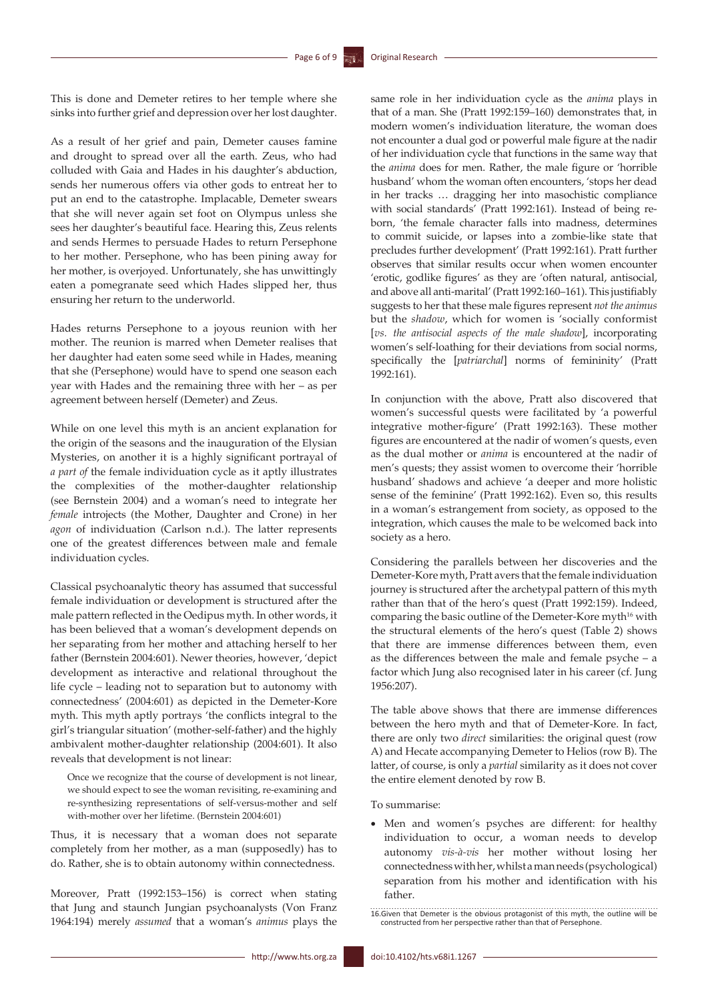This is done and Demeter retires to her temple where she sinks into further grief and depression over her lost daughter.

As a result of her grief and pain, Demeter causes famine and drought to spread over all the earth. Zeus, who had colluded with Gaia and Hades in his daughter's abduction, sends her numerous offers via other gods to entreat her to put an end to the catastrophe. Implacable, Demeter swears that she will never again set foot on Olympus unless she sees her daughter's beautiful face. Hearing this, Zeus relents and sends Hermes to persuade Hades to return Persephone to her mother. Persephone, who has been pining away for her mother, is overjoyed. Unfortunately, she has unwittingly eaten a pomegranate seed which Hades slipped her, thus ensuring her return to the underworld.

Hades returns Persephone to a joyous reunion with her mother. The reunion is marred when Demeter realises that her daughter had eaten some seed while in Hades, meaning that she (Persephone) would have to spend one season each year with Hades and the remaining three with her – as per agreement between herself (Demeter) and Zeus.

While on one level this myth is an ancient explanation for the origin of the seasons and the inauguration of the Elysian Mysteries, on another it is a highly significant portrayal of *a part of* the female individuation cycle as it aptly illustrates the complexities of the mother-daughter relationship (see Bernstein 2004) and a woman's need to integrate her *female* introjects (the Mother, Daughter and Crone) in her *agon* of individuation (Carlson n.d.). The latter represents one of the greatest differences between male and female individuation cycles.

Classical psychoanalytic theory has assumed that successful female individuation or development is structured after the male pattern reflected in the Oedipus myth. In other words, it has been believed that a woman's development depends on her separating from her mother and attaching herself to her father (Bernstein 2004:601). Newer theories, however, 'depict development as interactive and relational throughout the life cycle – leading not to separation but to autonomy with connectedness' (2004:601) as depicted in the Demeter-Kore myth. This myth aptly portrays 'the conflicts integral to the girl's triangular situation' (mother-self-father) and the highly ambivalent mother-daughter relationship (2004:601). It also reveals that development is not linear:

Once we recognize that the course of development is not linear, we should expect to see the woman revisiting, re-examining and re-synthesizing representations of self-versus-mother and self with-mother over her lifetime. (Bernstein 2004:601)

Thus, it is necessary that a woman does not separate completely from her mother, as a man (supposedly) has to do. Rather, she is to obtain autonomy within connectedness.

Moreover, Pratt (1992:153–156) is correct when stating that Jung and staunch Jungian psychoanalysts (Von Franz 1964:194) merely *assumed* that a woman's *animus* plays the

same role in her individuation cycle as the *anima* plays in that of a man. She (Pratt 1992:159–160) demonstrates that, in modern women's individuation literature, the woman does not encounter a dual god or powerful male figure at the nadir of her individuation cycle that functions in the same way that the *anima* does for men. Rather, the male figure or 'horrible husband' whom the woman often encounters, 'stops her dead in her tracks … dragging her into masochistic compliance with social standards' (Pratt 1992:161). Instead of being reborn, 'the female character falls into madness, determines to commit suicide, or lapses into a zombie-like state that precludes further development' (Pratt 1992:161). Pratt further observes that similar results occur when women encounter 'erotic, godlike figures' as they are 'often natural, antisocial, and above all anti-marital' (Pratt 1992:160–161). This justifiably suggests to her that these male figures represent *not the animus* but the *shadow*, which for women is 'socially conformist [*vs. the antisocial aspects of the male shadow*], incorporating women's self-loathing for their deviations from social norms, specifically the [*patriarchal*] norms of femininity' (Pratt 1992:161).

In conjunction with the above, Pratt also discovered that women's successful quests were facilitated by 'a powerful integrative mother-figure' (Pratt 1992:163). These mother figures are encountered at the nadir of women's quests, even as the dual mother or *anima* is encountered at the nadir of men's quests; they assist women to overcome their 'horrible husband' shadows and achieve 'a deeper and more holistic sense of the feminine' (Pratt 1992:162). Even so, this results in a woman's estrangement from society, as opposed to the integration, which causes the male to be welcomed back into society as a hero.

Considering the parallels between her discoveries and the Demeter-Kore myth, Pratt avers that the female individuation journey is structured after the archetypal pattern of this myth rather than that of the hero's quest (Pratt 1992:159). Indeed, comparing the basic outline of the Demeter-Kore myth<sup>16</sup> with the structural elements of the hero's quest (Table 2) shows that there are immense differences between them, even as the differences between the male and female psyche – a factor which Jung also recognised later in his career (cf. Jung 1956:207).

The table above shows that there are immense differences between the hero myth and that of Demeter-Kore. In fact, there are only two *direct* similarities: the original quest (row A) and Hecate accompanying Demeter to Helios (row B). The latter, of course, is only a *partial* similarity as it does not cover the entire element denoted by row B.

To summarise:

• Men and women's psyches are different: for healthy individuation to occur, a woman needs to develop autonomy *vis-à-vis* her mother without losing her connectedness with her, whilst a man needs (psychological) separation from his mother and identification with his father.

<sup>16.</sup>Given that Demeter is the obvious protagonist of this myth, the outline will be constructed from her perspective rather than that of Persephone.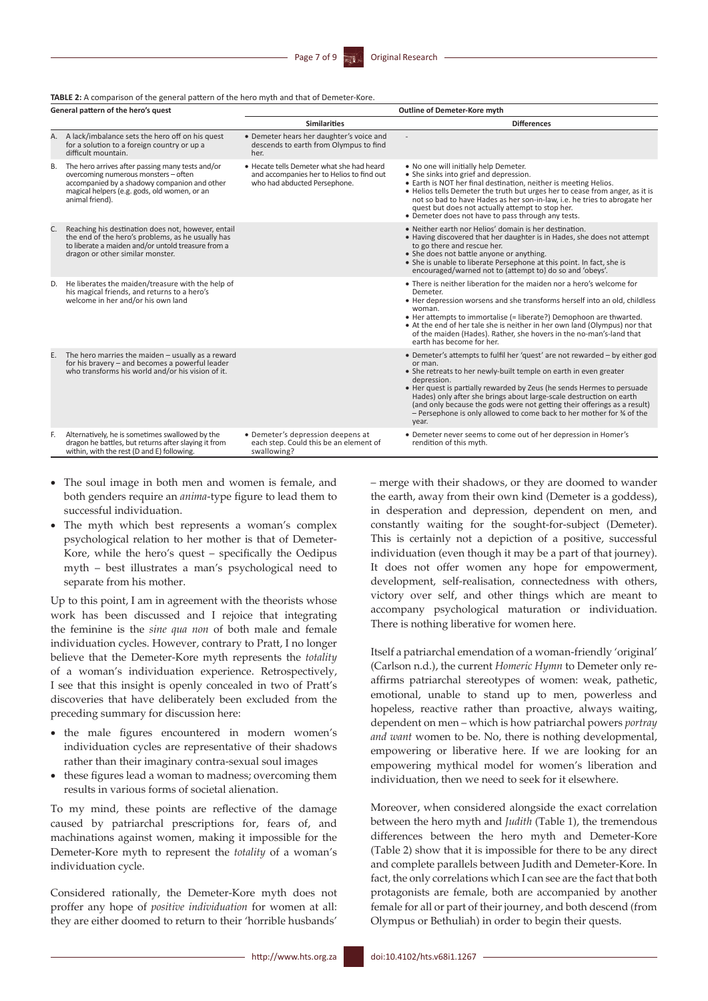#### **TABLE 2:** A comparison of the general pattern of the hero myth and that of Demeter-Kore.

| General pattern of the hero's quest |                                                                                                                                                                                                             | Outline of Demeter-Kore myth                                                                                           |                                                                                                                                                                                                                                                                                                                                                                                                                                                                                          |
|-------------------------------------|-------------------------------------------------------------------------------------------------------------------------------------------------------------------------------------------------------------|------------------------------------------------------------------------------------------------------------------------|------------------------------------------------------------------------------------------------------------------------------------------------------------------------------------------------------------------------------------------------------------------------------------------------------------------------------------------------------------------------------------------------------------------------------------------------------------------------------------------|
|                                     |                                                                                                                                                                                                             | <b>Similarities</b>                                                                                                    | <b>Differences</b>                                                                                                                                                                                                                                                                                                                                                                                                                                                                       |
| Α.                                  | A lack/imbalance sets the hero off on his quest<br>for a solution to a foreign country or up a<br>difficult mountain.                                                                                       | • Demeter hears her daughter's voice and<br>descends to earth from Olympus to find<br>her.                             |                                                                                                                                                                                                                                                                                                                                                                                                                                                                                          |
| B.                                  | The hero arrives after passing many tests and/or<br>overcoming numerous monsters - often<br>accompanied by a shadowy companion and other<br>magical helpers (e.g. gods, old women, or an<br>animal friend). | . Hecate tells Demeter what she had heard<br>and accompanies her to Helios to find out<br>who had abducted Persephone. | . No one will initially help Demeter.<br>• She sinks into grief and depression.<br>• Earth is NOT her final destination, neither is meeting Helios.<br>. Helios tells Demeter the truth but urges her to cease from anger, as it is<br>not so bad to have Hades as her son-in-law, i.e. he tries to abrogate her<br>quest but does not actually attempt to stop her.<br>• Demeter does not have to pass through any tests.                                                               |
| C.                                  | Reaching his destination does not, however, entail<br>the end of the hero's problems, as he usually has<br>to liberate a maiden and/or untold treasure from a<br>dragon or other similar monster.           |                                                                                                                        | . Neither earth nor Helios' domain is her destination.<br>• Having discovered that her daughter is in Hades, she does not attempt<br>to go there and rescue her.<br>• She does not battle anyone or anything.<br>• She is unable to liberate Persephone at this point. In fact, she is<br>encouraged/warned not to (attempt to) do so and 'obeys'.                                                                                                                                       |
| D.                                  | He liberates the maiden/treasure with the help of<br>his magical friends, and returns to a hero's<br>welcome in her and/or his own land                                                                     |                                                                                                                        | • There is neither liberation for the maiden nor a hero's welcome for<br>Demeter.<br>• Her depression worsens and she transforms herself into an old, childless<br>woman.<br>• Her attempts to immortalise (= liberate?) Demophoon are thwarted.<br>• At the end of her tale she is neither in her own land (Olympus) nor that<br>of the maiden (Hades). Rather, she hovers in the no-man's-land that<br>earth has become for her.                                                       |
| Ε.                                  | The hero marries the maiden - usually as a reward<br>for his bravery - and becomes a powerful leader<br>who transforms his world and/or his vision of it.                                                   |                                                                                                                        | • Demeter's attempts to fulfil her 'quest' are not rewarded - by either god<br>or man.<br>• She retreats to her newly-built temple on earth in even greater<br>depression.<br>. Her quest is partially rewarded by Zeus (he sends Hermes to persuade<br>Hades) only after she brings about large-scale destruction on earth<br>(and only because the gods were not getting their offerings as a result)<br>- Persephone is only allowed to come back to her mother for % of the<br>year. |
| F.                                  | Alternatively, he is sometimes swallowed by the<br>dragon he battles, but returns after slaying it from<br>within, with the rest (D and E) following.                                                       | · Demeter's depression deepens at<br>each step. Could this be an element of<br>swallowing?                             | • Demeter never seems to come out of her depression in Homer's<br>rendition of this myth.                                                                                                                                                                                                                                                                                                                                                                                                |

- The soul image in both men and women is female, and both genders require an *anima*-type figure to lead them to successful individuation.
- The myth which best represents a woman's complex psychological relation to her mother is that of Demeter-Kore, while the hero's quest – specifically the Oedipus myth – best illustrates a man's psychological need to separate from his mother.

Up to this point, I am in agreement with the theorists whose work has been discussed and I rejoice that integrating the feminine is the *sine qua non* of both male and female individuation cycles. However, contrary to Pratt, I no longer believe that the Demeter-Kore myth represents the *totality* of a woman's individuation experience. Retrospectively, I see that this insight is openly concealed in two of Pratt's discoveries that have deliberately been excluded from the preceding summary for discussion here:

- • the male figures encountered in modern women's individuation cycles are representative of their shadows rather than their imaginary contra-sexual soul images
- these figures lead a woman to madness; overcoming them results in various forms of societal alienation.

To my mind, these points are reflective of the damage caused by patriarchal prescriptions for, fears of, and machinations against women, making it impossible for the Demeter-Kore myth to represent the *totality* of a woman's individuation cycle.

Considered rationally, the Demeter-Kore myth does not proffer any hope of *positive individuation* for women at all: they are either doomed to return to their 'horrible husbands'

– merge with their shadows, or they are doomed to wander the earth, away from their own kind (Demeter is a goddess), in desperation and depression, dependent on men, and constantly waiting for the sought-for-subject (Demeter). This is certainly not a depiction of a positive, successful individuation (even though it may be a part of that journey). It does not offer women any hope for empowerment, development, self-realisation, connectedness with others, victory over self, and other things which are meant to accompany psychological maturation or individuation. There is nothing liberative for women here.

Itself a patriarchal emendation of a woman-friendly 'original' (Carlson n.d.), the current *Homeric Hymn* to Demeter only reaffirms patriarchal stereotypes of women: weak, pathetic, emotional, unable to stand up to men, powerless and hopeless, reactive rather than proactive, always waiting, dependent on men – which is how patriarchal powers *portray and want* women to be. No, there is nothing developmental, empowering or liberative here. If we are looking for an empowering mythical model for women's liberation and individuation, then we need to seek for it elsewhere.

Moreover, when considered alongside the exact correlation between the hero myth and *Judith* (Table 1), the tremendous differences between the hero myth and Demeter-Kore (Table 2) show that it is impossible for there to be any direct and complete parallels between Judith and Demeter-Kore. In fact, the only correlations which I can see are the fact that both protagonists are female, both are accompanied by another female for all or part of their journey, and both descend (from Olympus or Bethuliah) in order to begin their quests.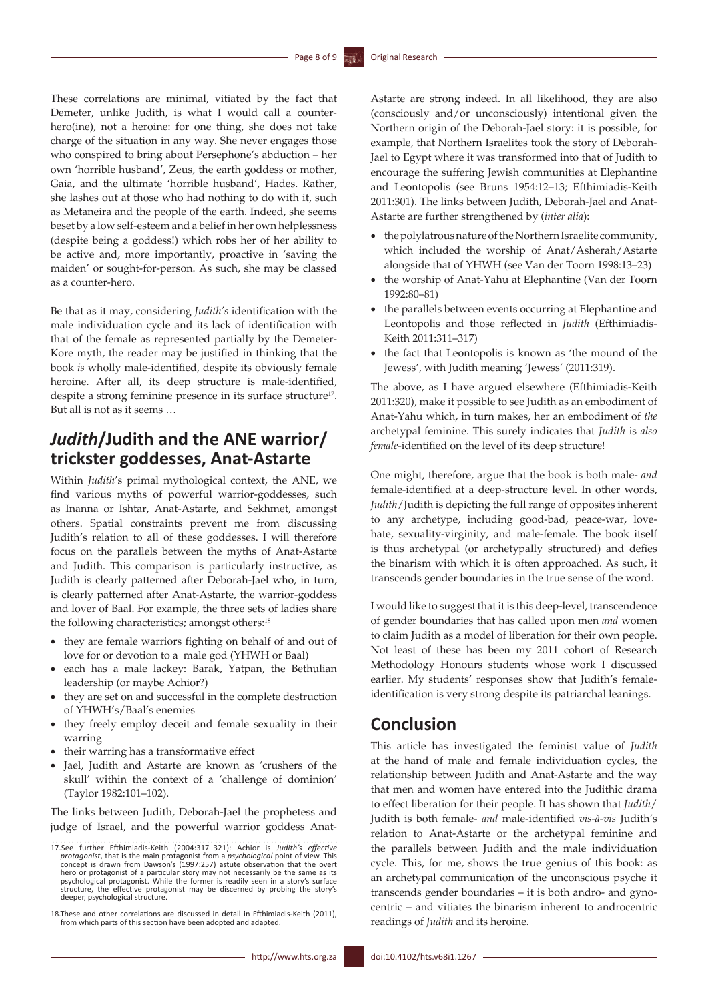These correlations are minimal, vitiated by the fact that Demeter, unlike Judith, is what I would call a counterhero(ine), not a heroine: for one thing, she does not take charge of the situation in any way. She never engages those who conspired to bring about Persephone's abduction – her own 'horrible husband', Zeus, the earth goddess or mother, Gaia, and the ultimate 'horrible husband', Hades. Rather, she lashes out at those who had nothing to do with it, such as Metaneira and the people of the earth. Indeed, she seems beset by a low self-esteem and a belief in her own helplessness (despite being a goddess!) which robs her of her ability to be active and, more importantly, proactive in 'saving the maiden' or sought-for-person. As such, she may be classed as a counter-hero.

Be that as it may, considering *Judith's* identification with the male individuation cycle and its lack of identification with that of the female as represented partially by the Demeter-Kore myth, the reader may be justified in thinking that the book *is* wholly male-identified, despite its obviously female heroine. After all, its deep structure is male-identified, despite a strong feminine presence in its surface structure<sup>17</sup>. But all is not as it seems …

# *Judith***/Judith and the ANE warrior/ trickster goddesses, Anat-Astarte**

Within *Judith*'s primal mythological context, the ANE, we find various myths of powerful warrior-goddesses, such as Inanna or Ishtar, Anat-Astarte, and Sekhmet, amongst others. Spatial constraints prevent me from discussing Judith's relation to all of these goddesses. I will therefore focus on the parallels between the myths of Anat-Astarte and Judith. This comparison is particularly instructive, as Judith is clearly patterned after Deborah-Jael who, in turn, is clearly patterned after Anat-Astarte, the warrior-goddess and lover of Baal. For example, the three sets of ladies share the following characteristics; amongst others:<sup>18</sup>

- • they are female warriors fighting on behalf of and out of love for or devotion to a male god (YHWH or Baal)
- • each has a male lackey: Barak, Yatpan, the Bethulian leadership (or maybe Achior?)
- they are set on and successful in the complete destruction of YHWH's/Baal's enemies
- they freely employ deceit and female sexuality in their warring
- their warring has a transformative effect
- Jael, Judith and Astarte are known as 'crushers of the skull' within the context of a 'challenge of dominion' (Taylor 1982:101–102).

The links between Judith, Deborah-Jael the prophetess and judge of Israel, and the powerful warrior goddess AnatAstarte are strong indeed. In all likelihood, they are also (consciously and/or unconsciously) intentional given the Northern origin of the Deborah-Jael story: it is possible, for example, that Northern Israelites took the story of Deborah-Jael to Egypt where it was transformed into that of Judith to encourage the suffering Jewish communities at Elephantine and Leontopolis (see Bruns 1954:12–13; Efthimiadis-Keith 2011:301). The links between Judith, Deborah-Jael and Anat-Astarte are further strengthened by (*inter alia*):

- • the polylatrous nature of the Northern Israelite community, which included the worship of Anat/Asherah/Astarte alongside that of YHWH (see Van der Toorn 1998:13–23)
- the worship of Anat-Yahu at Elephantine (Van der Toorn 1992:80–81)
- the parallels between events occurring at Elephantine and Leontopolis and those reflected in *Judith* (Efthimiadis-Keith 2011:311–317)
- the fact that Leontopolis is known as 'the mound of the Jewess', with Judith meaning 'Jewess' (2011:319).

The above, as I have argued elsewhere (Efthimiadis-Keith 2011:320), make it possible to see Judith as an embodiment of Anat-Yahu which, in turn makes, her an embodiment of *the* archetypal feminine. This surely indicates that *Judith* is *also female*-identified on the level of its deep structure!

One might, therefore, argue that the book is both male- *and* female-identified at a deep-structure level. In other words, *Judith*/Judith is depicting the full range of opposites inherent to any archetype, including good-bad, peace-war, lovehate, sexuality-virginity, and male-female. The book itself is thus archetypal (or archetypally structured) and defies the binarism with which it is often approached. As such, it transcends gender boundaries in the true sense of the word.

I would like to suggest that it is this deep-level, transcendence of gender boundaries that has called upon men *and* women to claim Judith as a model of liberation for their own people. Not least of these has been my 2011 cohort of Research Methodology Honours students whose work I discussed earlier. My students' responses show that Judith's femaleidentification is very strong despite its patriarchal leanings.

# **Conclusion**

This article has investigated the feminist value of *Judith* at the hand of male and female individuation cycles, the relationship between Judith and Anat-Astarte and the way that men and women have entered into the Judithic drama to effect liberation for their people. It has shown that *Judith*/ Judith is both female- *and* male-identified *vis-à-vis* Judith's relation to Anat-Astarte or the archetypal feminine and the parallels between Judith and the male individuation cycle. This, for me, shows the true genius of this book: as an archetypal communication of the unconscious psyche it transcends gender boundaries – it is both andro- and gynocentric – and vitiates the binarism inherent to androcentric readings of *Judith* and its heroine.

<sup>17.</sup>See further Efthimiadis-Keith (2004:317–321): Achior is *Judith's effective protagonist*, that is the main protagonist from a *psychological* point of view. This concept is drawn from Dawson's (1997:257) astute observation that the overt hero or protagonist of a particular story may not necessarily be the same as its psychological protagonist. While the former is readily seen in a story's surface structure, the effective protagonist may be discerned by probing the story's deeper, psychological structure.

<sup>18.</sup>These and other correlations are discussed in detail in Efthimiadis-Keith (2011), from which parts of this section have been adopted and adapted.